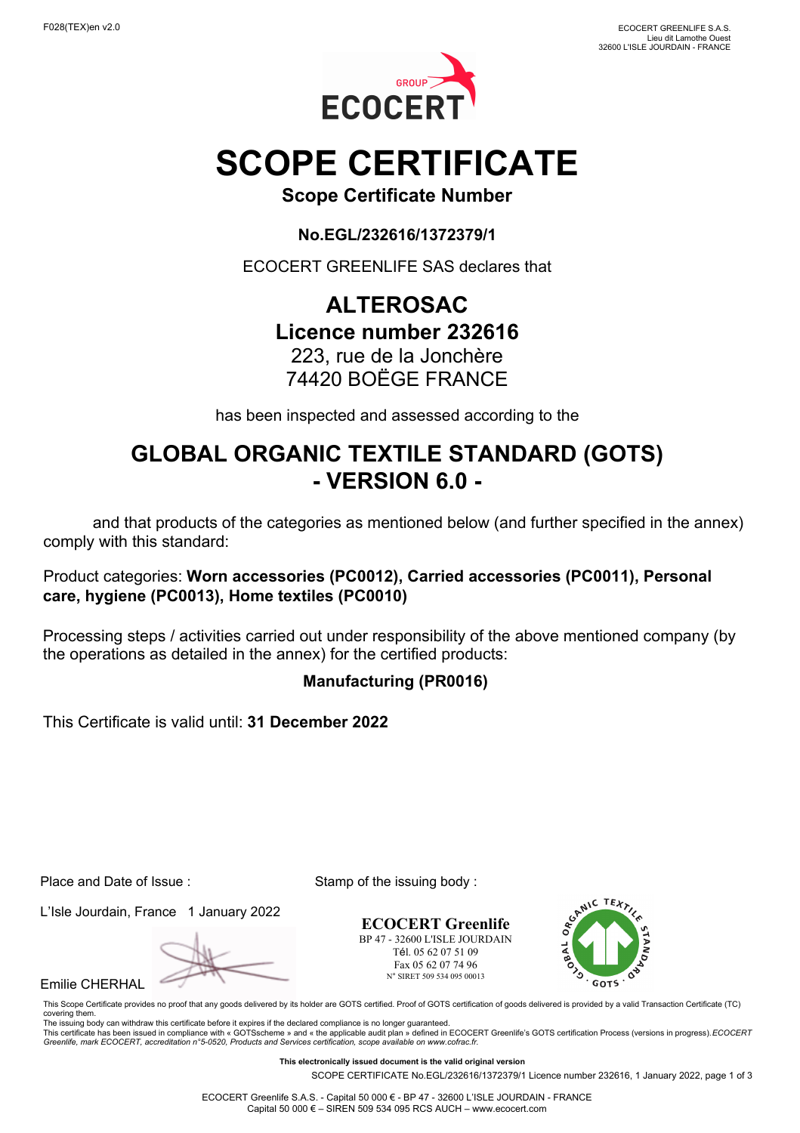

# **SCOPE CERTIFICATE**

**Scope Certificate Number**

**No.EGL/232616/1372379/1**

ECOCERT GREENLIFE SAS declares that

## **ALTEROSAC Licence number 232616**

## 223, rue de la Jonchère 74420 BOËGE FRANCE

has been inspected and assessed according to the

## **GLOBAL ORGANIC TEXTILE STANDARD (GOTS) - VERSION 6.0 -**

 and that products of the categories as mentioned below (and further specified in the annex) comply with this standard:

#### Product categories: **Worn accessories (PC0012), Carried accessories (PC0011), Personal care, hygiene (PC0013), Home textiles (PC0010)**

Processing steps / activities carried out under responsibility of the above mentioned company (by the operations as detailed in the annex) for the certified products:

### **Manufacturing (PR0016)**

This Certificate is valid until: **31 December 2022**

Place and Date of Issue : Stamp of the issuing body :

L'Isle Jourdain, France 1 January 2022

Emilie CHERHAL

**ECOCERT Greenlife** BP 47 - 32600 L'ISLE JOURDAIN Tél. 05 62 07 51 09 Fax 05 62 07 74 96 N° SIRET 509 534 095 00013



This Scope Certificate provides no proof that any goods delivered by its holder are GOTS certified. Proof of GOTS certification of goods delivered is provided by a valid Transaction Certificate (TC) covering them. The issuing body can withdraw this certificate before it expires if the declared compliance is no longer guaranteed.

This certificate has been issued in compliance with « GOTSscheme » and « the applicable audit plan » defined in ECOCERT Greenlife's GOTS certification Process (versions in progress).*ECOCERT*<br>Greenlife, *mark ECOCERT, accr* 

**This electronically issued document is the valid original version**

SCOPE CERTIFICATE No.EGL/232616/1372379/1 Licence number 232616, 1 January 2022, page 1 of 3

ECOCERT Greenlife S.A.S. - Capital 50 000 € - BP 47 - 32600 L'ISLE JOURDAIN - FRANCE Capital 50 000 € – SIREN 509 534 095 RCS AUCH – www.ecocert.com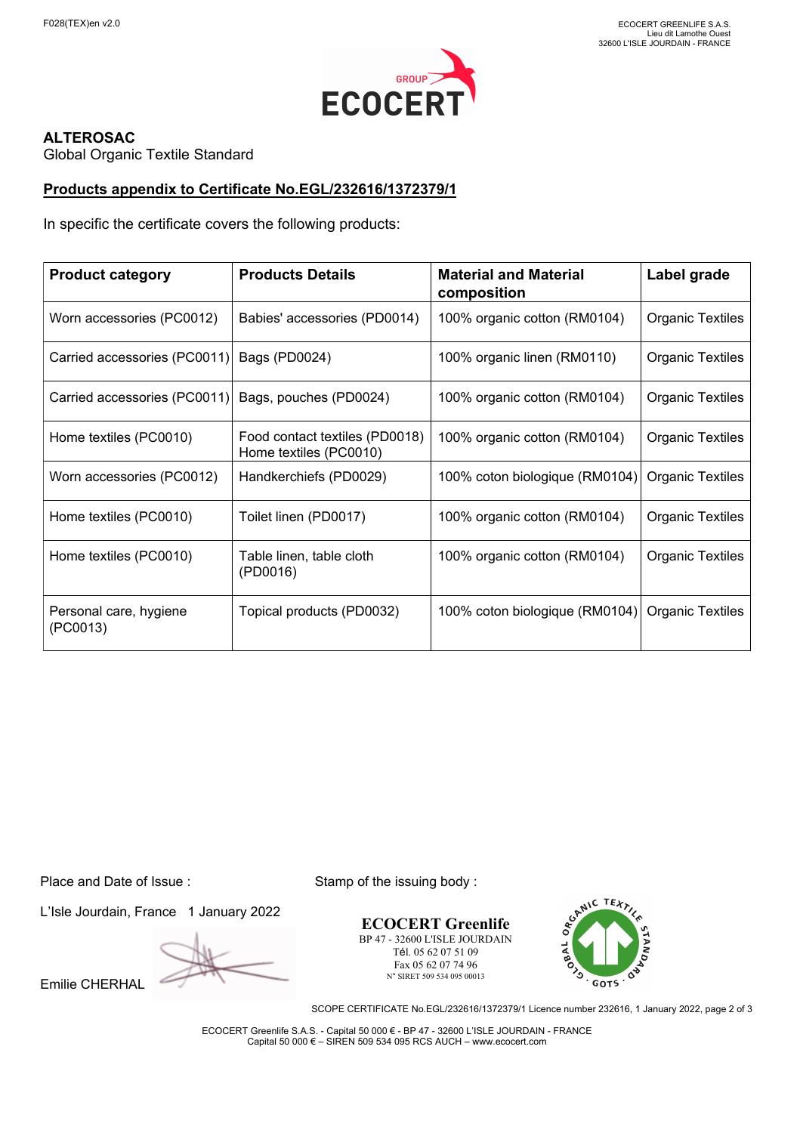

#### **ALTEROSAC**

Global Organic Textile Standard

#### **Products appendix to Certificate No.EGL/232616/1372379/1**

In specific the certificate covers the following products:

| <b>Product category</b>            | <b>Products Details</b>                                  | <b>Material and Material</b><br>composition | Label grade             |
|------------------------------------|----------------------------------------------------------|---------------------------------------------|-------------------------|
| Worn accessories (PC0012)          | Babies' accessories (PD0014)                             | 100% organic cotton (RM0104)                | <b>Organic Textiles</b> |
| Carried accessories (PC0011)       | Bags (PD0024)                                            | 100% organic linen (RM0110)                 | <b>Organic Textiles</b> |
| Carried accessories (PC0011)       | Bags, pouches (PD0024)                                   | 100% organic cotton (RM0104)                | <b>Organic Textiles</b> |
| Home textiles (PC0010)             | Food contact textiles (PD0018)<br>Home textiles (PC0010) | 100% organic cotton (RM0104)                | <b>Organic Textiles</b> |
| Worn accessories (PC0012)          | Handkerchiefs (PD0029)                                   | 100% coton biologique (RM0104)              | <b>Organic Textiles</b> |
| Home textiles (PC0010)             | Toilet linen (PD0017)                                    | 100% organic cotton (RM0104)                | <b>Organic Textiles</b> |
| Home textiles (PC0010)             | Table linen, table cloth<br>(PD0016)                     | 100% organic cotton (RM0104)                | <b>Organic Textiles</b> |
| Personal care, hygiene<br>(PC0013) | Topical products (PD0032)                                | 100% coton biologique (RM0104)              | <b>Organic Textiles</b> |

L'Isle Jourdain, France 1 January 2022

Emilie CHERHAL

Place and Date of Issue : Stamp of the issuing body :

**ECOCERT Greenlife** BP 47 - 32600 L'ISLE JOURDAIN Tél. 05 62 07 51 09 Fax 05 62 07 74 96 N° SIRET 509 534 095 00013



SCOPE CERTIFICATE No.EGL/232616/1372379/1 Licence number 232616, 1 January 2022, page 2 of 3

ECOCERT Greenlife S.A.S. - Capital 50 000 € - BP 47 - 32600 L'ISLE JOURDAIN - FRANCE Capital 50 000 € – SIREN 509 534 095 RCS AUCH – www.ecocert.com